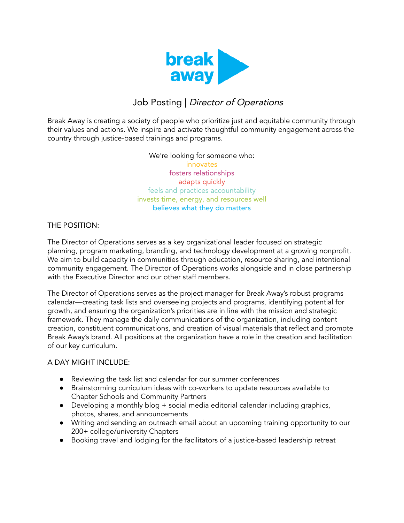

# Job Posting | Director of Operations

Break Away is creating a society of people who prioritize just and equitable community through their values and actions. We inspire and activate thoughtful community engagement across the country through justice-based trainings and programs.

## We're looking for someone who: innovates

fosters relationships adapts quickly feels and practices accountability invests time, energy, and resources well believes what they do matters

THE POSITION:

The Director of Operations serves as a key organizational leader focused on strategic planning, program marketing, branding, and technology development at a growing nonprofit. We aim to build capacity in communities through education, resource sharing, and intentional community engagement. The Director of Operations works alongside and in close partnership with the Executive Director and our other staff members.

The Director of Operations serves as the project manager for Break Away's robust programs calendar—creating task lists and overseeing projects and programs, identifying potential for growth, and ensuring the organization's priorities are in line with the mission and strategic framework. They manage the daily communications of the organization, including content creation, constituent communications, and creation of visual materials that reflect and promote Break Away's brand. All positions at the organization have a role in the creation and facilitation of our key curriculum.

## A DAY MIGHT INCLUDE:

- Reviewing the task list and calendar for our summer conferences
- Brainstorming curriculum ideas with co-workers to update resources available to Chapter Schools and Community Partners
- Developing a monthly blog + social media editorial calendar including graphics, photos, shares, and announcements
- Writing and sending an outreach email about an upcoming training opportunity to our 200+ college/university Chapters
- Booking travel and lodging for the facilitators of a justice-based leadership retreat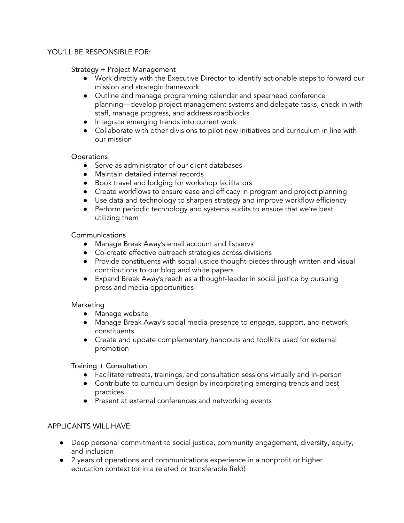#### YOU'LL BE RESPONSIBLE FOR:

#### Strategy + Project Management

- Work directly with the Executive Director to identify actionable steps to forward our mission and strategic framework
- Outline and manage programming calendar and spearhead conference planning—develop project management systems and delegate tasks, check in with staff, manage progress, and address roadblocks
- Integrate emerging trends into current work
- Collaborate with other divisions to pilot new initiatives and curriculum in line with our mission

#### **Operations**

- Serve as administrator of our client databases
- Maintain detailed internal records
- Book travel and lodging for workshop facilitators
- Create workflows to ensure ease and efficacy in program and project planning
- Use data and technology to sharpen strategy and improve workflow efficiency
- Perform periodic technology and systems audits to ensure that we're best utilizing them

#### Communications

- Manage Break Away's email account and listservs
- Co-create effective outreach strategies across divisions
- Provide constituents with social justice thought pieces through written and visual contributions to our blog and white papers
- Expand Break Away's reach as a thought-leader in social justice by pursuing press and media opportunities

## Marketing

- Manage website
- Manage Break Away's social media presence to engage, support, and network constituents
- Create and update complementary handouts and toolkits used for external promotion

Training + Consultation

- Facilitate retreats, trainings, and consultation sessions virtually and in-person
- Contribute to curriculum design by incorporating emerging trends and best practices
- Present at external conferences and networking events

## APPLICANTS WILL HAVE:

- Deep personal commitment to social justice, community engagement, diversity, equity, and inclusion
- 2 years of operations and communications experience in a nonprofit or higher education context (or in a related or transferable field)